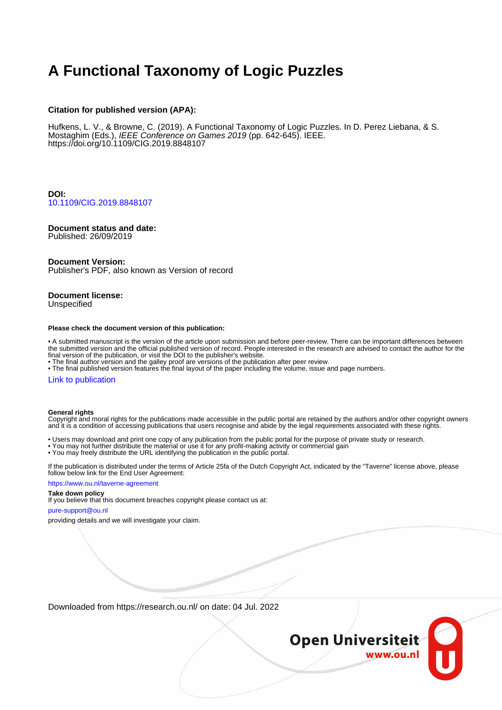# **A Functional Taxonomy of Logic Puzzles**

#### **Citation for published version (APA):**

Hufkens, L. V., & Browne, C. (2019). A Functional Taxonomy of Logic Puzzles. In D. Perez Liebana, & S. Mostaghim (Eds.), IEEE Conference on Games 2019 (pp. 642-645). IEEE. <https://doi.org/10.1109/CIG.2019.8848107>

**DOI:** [10.1109/CIG.2019.8848107](https://doi.org/10.1109/CIG.2019.8848107)

### **Document status and date:**

Published: 26/09/2019

#### **Document Version:**

Publisher's PDF, also known as Version of record

## **Document license:**

Unspecified

#### **Please check the document version of this publication:**

• A submitted manuscript is the version of the article upon submission and before peer-review. There can be important differences between the submitted version and the official published version of record. People interested in the research are advised to contact the author for the final version of the publication, or visit the DOI to the publisher's website.

• The final author version and the galley proof are versions of the publication after peer review.

• The final published version features the final layout of the paper including the volume, issue and page numbers.

#### [Link to publication](https://research.ou.nl/en/publications/9d7e91d2-e3c9-46fb-8bb7-a92e3dc7a324)

#### **General rights**

Copyright and moral rights for the publications made accessible in the public portal are retained by the authors and/or other copyright owners and it is a condition of accessing publications that users recognise and abide by the legal requirements associated with these rights.

- Users may download and print one copy of any publication from the public portal for the purpose of private study or research.
- You may not further distribute the material or use it for any profit-making activity or commercial gain
- You may freely distribute the URL identifying the publication in the public portal.

If the publication is distributed under the terms of Article 25fa of the Dutch Copyright Act, indicated by the "Taverne" license above, please follow below link for the End User Agreement:

#### https://www.ou.nl/taverne-agreement

### **Take down policy**

If you believe that this document breaches copyright please contact us at:

#### pure-support@ou.nl

providing details and we will investigate your claim.

Downloaded from https://research.ou.nl/ on date: 04 Jul. 2022

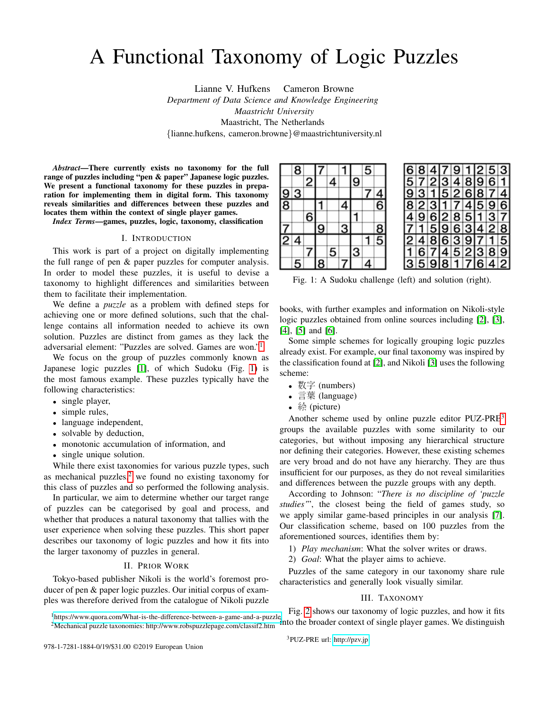# A Functional Taxonomy of Logic Puzzles

Lianne V. Hufkens Cameron Browne *Department of Data Science and Knowledge Engineering Maastricht University* Maastricht, The Netherlands {lianne.hufkens, cameron.browne}@maastrichtuniversity.nl

*Abstract*—There currently exists no taxonomy for the full range of puzzles including "pen & paper" Japanese logic puzzles. We present a functional taxonomy for these puzzles in preparation for implementing them in digital form. This taxonomy reveals similarities and differences between these puzzles and locates them within the context of single player games.

*Index Terms*—games, puzzles, logic, taxonomy, classification

#### I. INTRODUCTION

This work is part of a project on digitally implementing the full range of pen & paper puzzles for computer analysis. In order to model these puzzles, it is useful to devise a taxonomy to highlight differences and similarities between them to facilitate their implementation.

We define a *puzzle* as a problem with defined steps for achieving one or more defined solutions, such that the challenge contains all information needed to achieve its own solution. Puzzles are distinct from games as they lack the adversarial element: "Puzzles are solved. Games are won."[1](#page-1-0)

We focus on the group of puzzles commonly known as Japanese logic puzzles [\[1\]](#page-4-0), of which Sudoku (Fig. [1\)](#page-1-1) is the most famous example. These puzzles typically have the following characteristics:

- single player,
- simple rules,
- language independent,
- solvable by deduction,
- monotonic accumulation of information, and
- single unique solution.

While there exist taxonomies for various puzzle types, such as mechanical puzzles, $2$  we found no existing taxonomy for this class of puzzles and so performed the following analysis.

In particular, we aim to determine whether our target range of puzzles can be categorised by goal and process, and whether that produces a natural taxonomy that tallies with the user experience when solving these puzzles. This short paper describes our taxonomy of logic puzzles and how it fits into the larger taxonomy of puzzles in general.

#### II. PRIOR WORK

Tokyo-based publisher Nikoli is the world's foremost producer of pen & paper logic puzzles. Our initial corpus of examples was therefore derived from the catalogue of Nikoli puzzle

<span id="page-1-1"></span>

|               | 8              |   | 7        |   |   |                         | 5        |               |
|---------------|----------------|---|----------|---|---|-------------------------|----------|---------------|
|               |                | 2 |          | 4 |   | 9                       |          |               |
| $\frac{9}{8}$ | 3              |   |          |   |   |                         |          |               |
|               |                |   |          |   | 4 |                         |          | $\frac{4}{6}$ |
|               |                | 6 |          |   |   |                         |          |               |
|               |                |   | <u>ق</u> |   | 3 |                         |          |               |
| $\frac{7}{2}$ | 4              |   |          |   |   |                         |          | $\frac{8}{5}$ |
|               |                |   |          | 5 |   | $\overline{\mathbf{3}}$ |          |               |
|               | $\overline{5}$ |   | 8        |   |   |                         | <u>4</u> |               |

|           |  |  | 684791253         |  |  |
|-----------|--|--|-------------------|--|--|
| 572348961 |  |  |                   |  |  |
|           |  |  | 9 3 1 5 2 6 8 7 4 |  |  |
| 823174596 |  |  |                   |  |  |
|           |  |  | 4 9 6 2 8 5 1 3 7 |  |  |
|           |  |  | 7 1 5 9 6 3 4 2 8 |  |  |
|           |  |  | 248639715         |  |  |
|           |  |  | 1 6 7 4 5 2 3 8 9 |  |  |
| 359817642 |  |  |                   |  |  |
|           |  |  |                   |  |  |

Fig. 1: A Sudoku challenge (left) and solution (right).

books, with further examples and information on Nikoli-style logic puzzles obtained from online sources including [\[2\]](#page-4-1), [\[3\]](#page-4-2), [\[4\]](#page-4-3), [\[5\]](#page-4-4) and [\[6\]](#page-4-5).

Some simple schemes for logically grouping logic puzzles already exist. For example, our final taxonomy was inspired by the classification found at [\[2\]](#page-4-1), and Nikoli [\[3\]](#page-4-2) uses the following scheme:

- 数字 (numbers)
- 言葉 (language)
- 絵 (picture)

Another scheme used by online puzzle editor PUZ-PRE[3](#page-1-3) groups the available puzzles with some similarity to our categories, but without imposing any hierarchical structure nor defining their categories. However, these existing schemes are very broad and do not have any hierarchy. They are thus insufficient for our purposes, as they do not reveal similarities and differences between the puzzle groups with any depth.

According to Johnson: "*There is no discipline of 'puzzle studies'*", the closest being the field of games study, so we apply similar game-based principles in our analysis [\[7\]](#page-4-6). Our classification scheme, based on 100 puzzles from the aforementioned sources, identifies them by:

- 1) *Play mechanism*: What the solver writes or draws.
- 2) *Goal*: What the player aims to achieve.

Puzzles of the same category in our taxonomy share rule characteristics and generally look visually similar.

#### III. TAXONOMY

<span id="page-1-2"></span><span id="page-1-0"></span><sup>1</sup><https://www.quora.com/What-is-the-difference-between-a-game-and-a-puzzle> <sup>2</sup>Mechanical puzzle taxonomies: http://www.robspuzzlepage.com/classif2.htm Fig. [2](#page-2-0) shows our taxonomy of logic puzzles, and how it fits into the broader context of single player games. We distinguish

<span id="page-1-3"></span><sup>3</sup>PUZ-PRE url:<http://pzv.jp>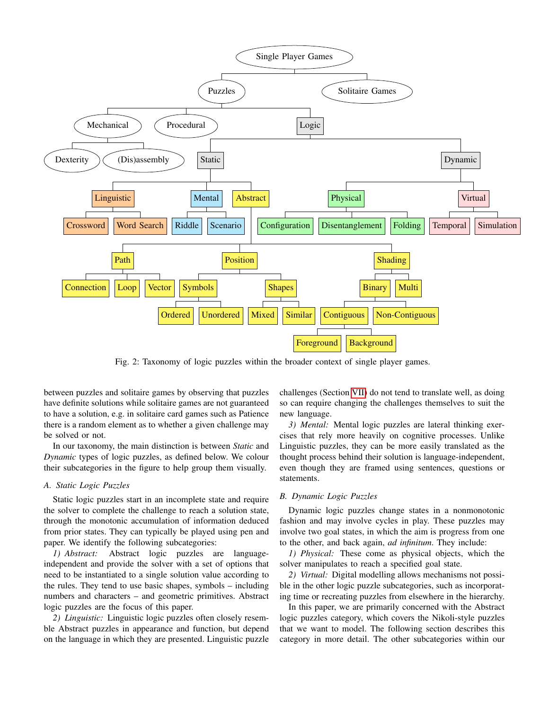<span id="page-2-0"></span>

Fig. 2: Taxonomy of logic puzzles within the broader context of single player games.

between puzzles and solitaire games by observing that puzzles have definite solutions while solitaire games are not guaranteed to have a solution, e.g. in solitaire card games such as Patience there is a random element as to whether a given challenge may be solved or not.

In our taxonomy, the main distinction is between *Static* and *Dynamic* types of logic puzzles, as defined below. We colour their subcategories in the figure to help group them visually.

#### *A. Static Logic Puzzles*

Static logic puzzles start in an incomplete state and require the solver to complete the challenge to reach a solution state, through the monotonic accumulation of information deduced from prior states. They can typically be played using pen and paper. We identify the following subcategories:

*1) Abstract:* Abstract logic puzzles are languageindependent and provide the solver with a set of options that need to be instantiated to a single solution value according to the rules. They tend to use basic shapes, symbols – including numbers and characters – and geometric primitives. Abstract logic puzzles are the focus of this paper.

*2) Linguistic:* Linguistic logic puzzles often closely resemble Abstract puzzles in appearance and function, but depend on the language in which they are presented. Linguistic puzzle challenges (Section [VII\)](#page-4-7) do not tend to translate well, as doing so can require changing the challenges themselves to suit the new language.

*3) Mental:* Mental logic puzzles are lateral thinking exercises that rely more heavily on cognitive processes. Unlike Linguistic puzzles, they can be more easily translated as the thought process behind their solution is language-independent, even though they are framed using sentences, questions or statements.

#### *B. Dynamic Logic Puzzles*

Dynamic logic puzzles change states in a nonmonotonic fashion and may involve cycles in play. These puzzles may involve two goal states, in which the aim is progress from one to the other, and back again, *ad infinitum*. They include:

*1) Physical:* These come as physical objects, which the solver manipulates to reach a specified goal state.

*2) Virtual:* Digital modelling allows mechanisms not possible in the other logic puzzle subcategories, such as incorporating time or recreating puzzles from elsewhere in the hierarchy.

In this paper, we are primarily concerned with the Abstract logic puzzles category, which covers the Nikoli-style puzzles that we want to model. The following section describes this category in more detail. The other subcategories within our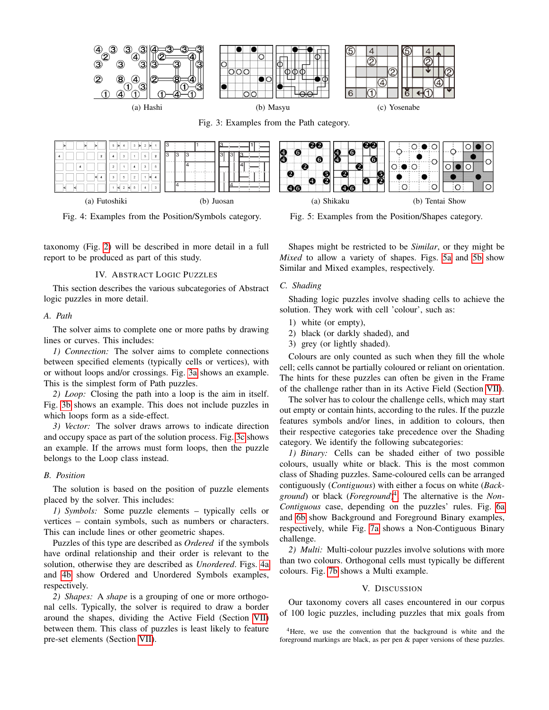<span id="page-3-0"></span>

<span id="page-3-1"></span>

Fig. 4: Examples from the Position/Symbols category.

taxonomy (Fig. [2\)](#page-2-0) will be described in more detail in a full report to be produced as part of this study.

#### IV. ABSTRACT LOGIC PUZZLES

This section describes the various subcategories of Abstract logic puzzles in more detail.

#### *A. Path*

The solver aims to complete one or more paths by drawing lines or curves. This includes:

*1) Connection:* The solver aims to complete connections between specified elements (typically cells or vertices), with or without loops and/or crossings. Fig. [3a](#page-3-0) shows an example. This is the simplest form of Path puzzles.

*2) Loop:* Closing the path into a loop is the aim in itself. Fig. [3b](#page-3-0) shows an example. This does not include puzzles in which loops form as a side-effect.

*3) Vector:* The solver draws arrows to indicate direction and occupy space as part of the solution process. Fig. [3c](#page-3-0) shows an example. If the arrows must form loops, then the puzzle belongs to the Loop class instead.

#### *B. Position*

The solution is based on the position of puzzle elements placed by the solver. This includes:

*1) Symbols:* Some puzzle elements – typically cells or vertices – contain symbols, such as numbers or characters. This can include lines or other geometric shapes.

Puzzles of this type are described as *Ordered* if the symbols have ordinal relationship and their order is relevant to the solution, otherwise they are described as *Unordered*. Figs. [4a](#page-3-1) and [4b](#page-3-1) show Ordered and Unordered Symbols examples, respectively.

*2) Shapes:* A *shape* is a grouping of one or more orthogonal cells. Typically, the solver is required to draw a border around the shapes, dividing the Active Field (Section [VII\)](#page-4-7) between them. This class of puzzles is least likely to feature pre-set elements (Section [VII\)](#page-4-7).

Fig. 5: Examples from the Position/Shapes category.

Shapes might be restricted to be *Similar*, or they might be *Mixed* to allow a variety of shapes. Figs. [5a](#page-3-1) and [5b](#page-3-1) show Similar and Mixed examples, respectively.

#### *C. Shading*

Shading logic puzzles involve shading cells to achieve the solution. They work with cell 'colour', such as:

- 1) white (or empty),
- 2) black (or darkly shaded), and
- 3) grey (or lightly shaded).

Colours are only counted as such when they fill the whole cell; cells cannot be partially coloured or reliant on orientation. The hints for these puzzles can often be given in the Frame of the challenge rather than in its Active Field (Section [VII\)](#page-4-7).

The solver has to colour the challenge cells, which may start out empty or contain hints, according to the rules. If the puzzle features symbols and/or lines, in addition to colours, then their respective categories take precedence over the Shading category. We identify the following subcategories:

*1) Binary:* Cells can be shaded either of two possible colours, usually white or black. This is the most common class of Shading puzzles. Same-coloured cells can be arranged contiguously (*Contiguous*) with either a focus on white (*Background*) or black (*Foreground*) [4](#page-3-2) . The alternative is the *Non-Contiguous* case, depending on the puzzles' rules. Fig. [6a](#page-4-8) and [6b](#page-4-8) show Background and Foreground Binary examples, respectively, while Fig. [7a](#page-4-8) shows a Non-Contiguous Binary challenge.

*2) Multi:* Multi-colour puzzles involve solutions with more than two colours. Orthogonal cells must typically be different colours. Fig. [7b](#page-4-8) shows a Multi example.

#### V. DISCUSSION

Our taxonomy covers all cases encountered in our corpus of 100 logic puzzles, including puzzles that mix goals from

<span id="page-3-2"></span><sup>4</sup>Here, we use the convention that the background is white and the foreground markings are black, as per pen & paper versions of these puzzles.